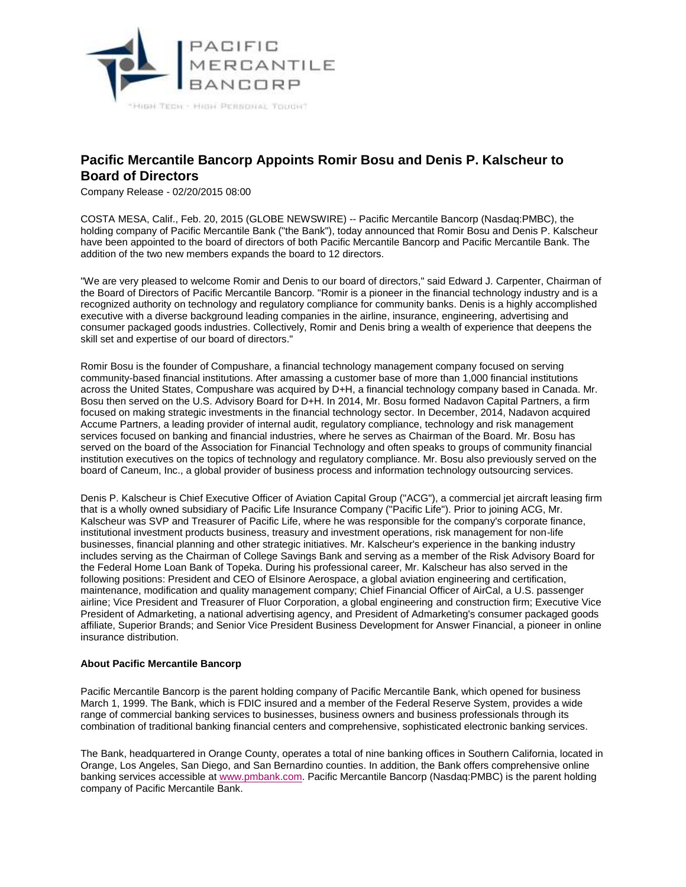

## **Pacific Mercantile Bancorp Appoints Romir Bosu and Denis P. Kalscheur to Board of Directors**

Company Release - 02/20/2015 08:00

COSTA MESA, Calif., Feb. 20, 2015 (GLOBE NEWSWIRE) -- Pacific Mercantile Bancorp (Nasdaq:PMBC), the holding company of Pacific Mercantile Bank ("the Bank"), today announced that Romir Bosu and Denis P. Kalscheur have been appointed to the board of directors of both Pacific Mercantile Bancorp and Pacific Mercantile Bank. The addition of the two new members expands the board to 12 directors.

"We are very pleased to welcome Romir and Denis to our board of directors," said Edward J. Carpenter, Chairman of the Board of Directors of Pacific Mercantile Bancorp. "Romir is a pioneer in the financial technology industry and is a recognized authority on technology and regulatory compliance for community banks. Denis is a highly accomplished executive with a diverse background leading companies in the airline, insurance, engineering, advertising and consumer packaged goods industries. Collectively, Romir and Denis bring a wealth of experience that deepens the skill set and expertise of our board of directors."

Romir Bosu is the founder of Compushare, a financial technology management company focused on serving community-based financial institutions. After amassing a customer base of more than 1,000 financial institutions across the United States, Compushare was acquired by D+H, a financial technology company based in Canada. Mr. Bosu then served on the U.S. Advisory Board for D+H. In 2014, Mr. Bosu formed Nadavon Capital Partners, a firm focused on making strategic investments in the financial technology sector. In December, 2014, Nadavon acquired Accume Partners, a leading provider of internal audit, regulatory compliance, technology and risk management services focused on banking and financial industries, where he serves as Chairman of the Board. Mr. Bosu has served on the board of the Association for Financial Technology and often speaks to groups of community financial institution executives on the topics of technology and regulatory compliance. Mr. Bosu also previously served on the board of Caneum, Inc., a global provider of business process and information technology outsourcing services.

Denis P. Kalscheur is Chief Executive Officer of Aviation Capital Group ("ACG"), a commercial jet aircraft leasing firm that is a wholly owned subsidiary of Pacific Life Insurance Company ("Pacific Life"). Prior to joining ACG, Mr. Kalscheur was SVP and Treasurer of Pacific Life, where he was responsible for the company's corporate finance, institutional investment products business, treasury and investment operations, risk management for non-life businesses, financial planning and other strategic initiatives. Mr. Kalscheur's experience in the banking industry includes serving as the Chairman of College Savings Bank and serving as a member of the Risk Advisory Board for the Federal Home Loan Bank of Topeka. During his professional career, Mr. Kalscheur has also served in the following positions: President and CEO of Elsinore Aerospace, a global aviation engineering and certification, maintenance, modification and quality management company; Chief Financial Officer of AirCal, a U.S. passenger airline; Vice President and Treasurer of Fluor Corporation, a global engineering and construction firm; Executive Vice President of Admarketing, a national advertising agency, and President of Admarketing's consumer packaged goods affiliate, Superior Brands; and Senior Vice President Business Development for Answer Financial, a pioneer in online insurance distribution.

## **About Pacific Mercantile Bancorp**

Pacific Mercantile Bancorp is the parent holding company of Pacific Mercantile Bank, which opened for business March 1, 1999. The Bank, which is FDIC insured and a member of the Federal Reserve System, provides a wide range of commercial banking services to businesses, business owners and business professionals through its combination of traditional banking financial centers and comprehensive, sophisticated electronic banking services.

The Bank, headquartered in Orange County, operates a total of nine banking offices in Southern California, located in Orange, Los Angeles, San Diego, and San Bernardino counties. In addition, the Bank offers comprehensive online banking services accessible at [www.pmbank.com.](http://www.globenewswire.com/newsroom/ctr?d=10121142&l=7&a=www.pmbank.com&u=http%3A%2F%2Fwww.pmbank.com) Pacific Mercantile Bancorp (Nasdaq:PMBC) is the parent holding company of Pacific Mercantile Bank.